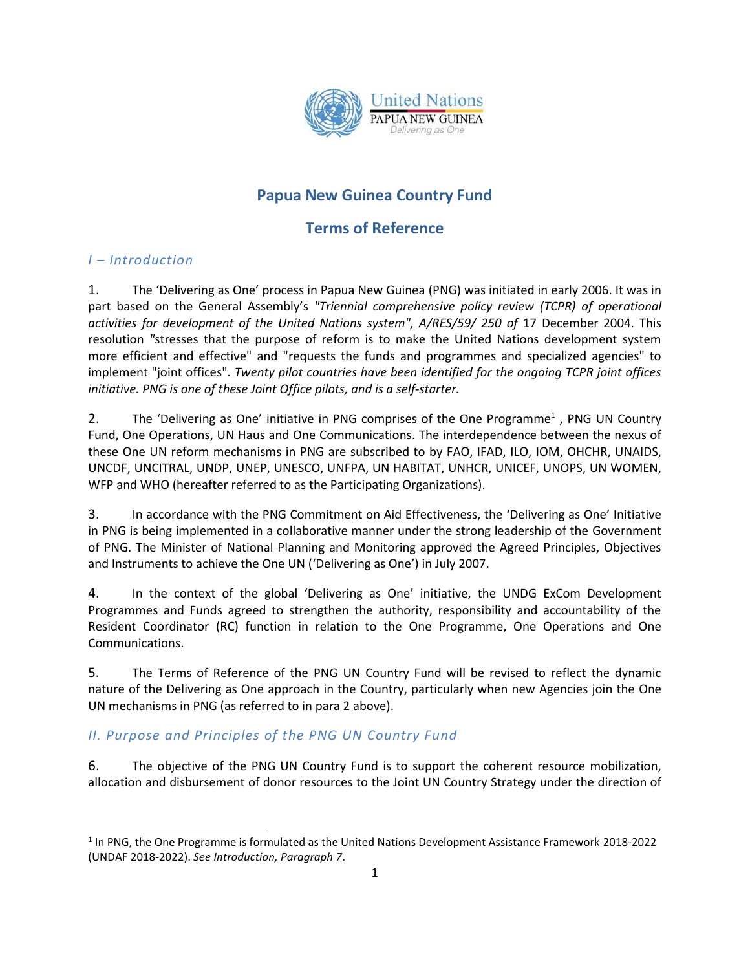

# **Papua New Guinea Country Fund**

# **Terms of Reference**

## *I – Introduction*

l

1. The 'Delivering as One' process in Papua New Guinea (PNG) was initiated in early 2006. It was in part based on the General Assembly's *"Triennial comprehensive policy review (TCPR) of operational activities for development of the United Nations system", A/RES/59/ 250 of* 17 December 2004. This resolution *"*stresses that the purpose of reform is to make the United Nations development system more efficient and effective" and "requests the funds and programmes and specialized agencies" to implement "joint offices". *Twenty pilot countries have been identified for the ongoing TCPR joint offices initiative. PNG is one of these Joint Office pilots, and is a self-starter.* 

2. The 'Delivering as One' initiative in PNG comprises of the One Programme<sup>1</sup>, PNG UN Country Fund, One Operations, UN Haus and One Communications. The interdependence between the nexus of these One UN reform mechanisms in PNG are subscribed to by FAO, IFAD, ILO, IOM, OHCHR, UNAIDS, UNCDF, UNCITRAL, UNDP, UNEP, UNESCO, UNFPA, UN HABITAT, UNHCR, UNICEF, UNOPS, UN WOMEN, WFP and WHO (hereafter referred to as the Participating Organizations).

3. In accordance with the PNG Commitment on Aid Effectiveness, the 'Delivering as One' Initiative in PNG is being implemented in a collaborative manner under the strong leadership of the Government of PNG. The Minister of National Planning and Monitoring approved the Agreed Principles, Objectives and Instruments to achieve the One UN ('Delivering as One') in July 2007.

4. In the context of the global 'Delivering as One' initiative, the UNDG ExCom Development Programmes and Funds agreed to strengthen the authority, responsibility and accountability of the Resident Coordinator (RC) function in relation to the One Programme, One Operations and One Communications.

5. The Terms of Reference of the PNG UN Country Fund will be revised to reflect the dynamic nature of the Delivering as One approach in the Country, particularly when new Agencies join the One UN mechanisms in PNG (as referred to in para 2 above).

## *II. Purpose and Principles of the PNG UN Country Fund*

6. The objective of the PNG UN Country Fund is to support the coherent resource mobilization, allocation and disbursement of donor resources to the Joint UN Country Strategy under the direction of

<sup>&</sup>lt;sup>1</sup> In PNG, the One Programme is formulated as the United Nations Development Assistance Framework 2018-2022 (UNDAF 2018-2022). *See Introduction, Paragraph 7*.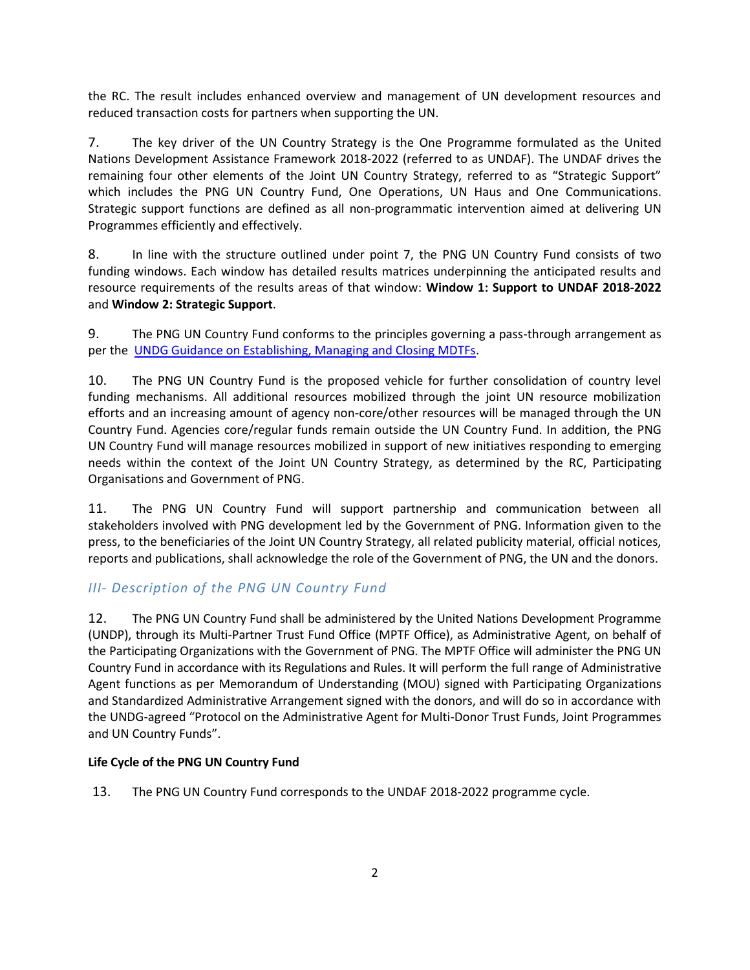the RC. The result includes enhanced overview and management of UN development resources and reduced transaction costs for partners when supporting the UN.

7. The key driver of the UN Country Strategy is the One Programme formulated as the United Nations Development Assistance Framework 2018-2022 (referred to as UNDAF). The UNDAF drives the remaining four other elements of the Joint UN Country Strategy, referred to as "Strategic Support" which includes the PNG UN Country Fund, One Operations, UN Haus and One Communications. Strategic support functions are defined as all non-programmatic intervention aimed at delivering UN Programmes efficiently and effectively.

8. In line with the structure outlined under point 7, the PNG UN Country Fund consists of two funding windows. Each window has detailed results matrices underpinning the anticipated results and resource requirements of the results areas of that window: **Window 1: Support to UNDAF 2018-2022** and **Window 2: Strategic Support**.

9. The PNG UN Country Fund conforms to the principles governing a pass-through arrangement as per the [UNDG Guidance on Establishing, Managing and Closing MDTFs.](http://mptf.undp.org/document/download/6132)

10. The PNG UN Country Fund is the proposed vehicle for further consolidation of country level funding mechanisms. All additional resources mobilized through the joint UN resource mobilization efforts and an increasing amount of agency non-core/other resources will be managed through the UN Country Fund. Agencies core/regular funds remain outside the UN Country Fund. In addition, the PNG UN Country Fund will manage resources mobilized in support of new initiatives responding to emerging needs within the context of the Joint UN Country Strategy, as determined by the RC, Participating Organisations and Government of PNG.

11. The PNG UN Country Fund will support partnership and communication between all stakeholders involved with PNG development led by the Government of PNG. Information given to the press, to the beneficiaries of the Joint UN Country Strategy, all related publicity material, official notices, reports and publications, shall acknowledge the role of the Government of PNG, the UN and the donors.

## *III- Description of the PNG UN Country Fund*

12. The PNG UN Country Fund shall be administered by the United Nations Development Programme (UNDP), through its Multi-Partner Trust Fund Office (MPTF Office), as Administrative Agent, on behalf of the Participating Organizations with the Government of PNG. The MPTF Office will administer the PNG UN Country Fund in accordance with its Regulations and Rules. It will perform the full range of Administrative Agent functions as per Memorandum of Understanding (MOU) signed with Participating Organizations and Standardized Administrative Arrangement signed with the donors, and will do so in accordance with the UNDG-agreed "Protocol on the Administrative Agent for Multi-Donor Trust Funds, Joint Programmes and UN Country Funds".

#### **Life Cycle of the PNG UN Country Fund**

13. The PNG UN Country Fund corresponds to the UNDAF 2018-2022 programme cycle.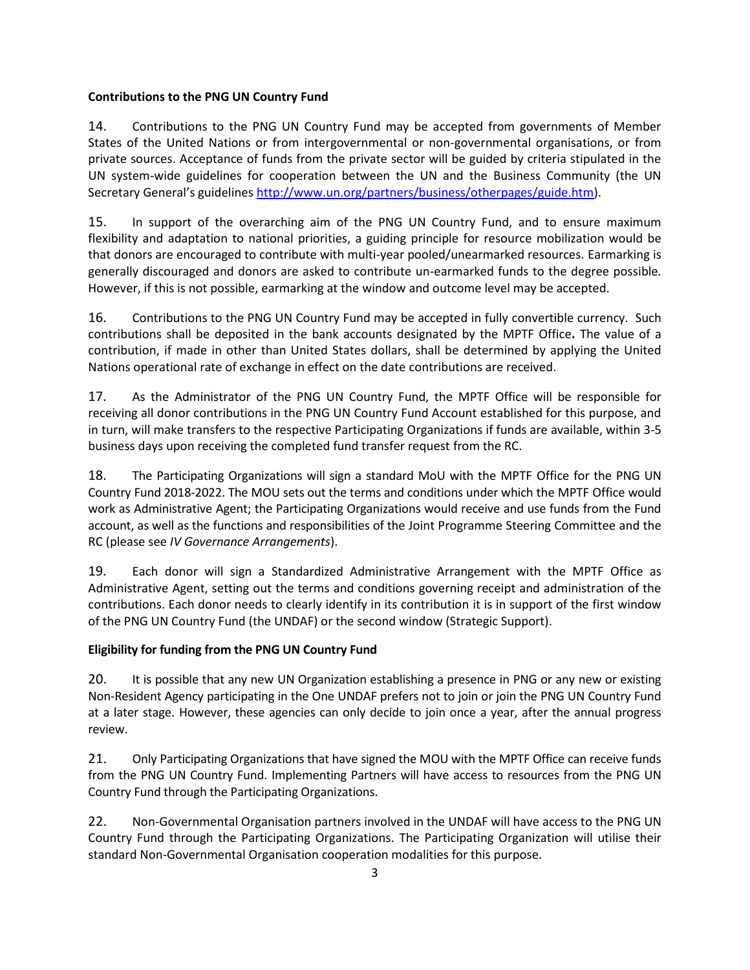#### **Contributions to the PNG UN Country Fund**

14. Contributions to the PNG UN Country Fund may be accepted from governments of Member States of the United Nations or from intergovernmental or non-governmental organisations, or from private sources. Acceptance of funds from the private sector will be guided by criteria stipulated in the UN system-wide guidelines for cooperation between the UN and the Business Community (the UN Secretary General's guidelines [http://www.un.org/partners/business/otherpages/guide.htm\)](http://www.un.org/partners/business/otherpages/guide.htm).

15. In support of the overarching aim of the PNG UN Country Fund, and to ensure maximum flexibility and adaptation to national priorities, a guiding principle for resource mobilization would be that donors are encouraged to contribute with multi-year pooled/unearmarked resources. Earmarking is generally discouraged and donors are asked to contribute un-earmarked funds to the degree possible*.* However, if this is not possible, earmarking at the window and outcome level may be accepted.

16. Contributions to the PNG UN Country Fund may be accepted in fully convertible currency. Such contributions shall be deposited in the bank accounts designated by the MPTF Office**.** The value of a contribution, if made in other than United States dollars, shall be determined by applying the United Nations operational rate of exchange in effect on the date contributions are received.

17. As the Administrator of the PNG UN Country Fund, the MPTF Office will be responsible for receiving all donor contributions in the PNG UN Country Fund Account established for this purpose, and in turn, will make transfers to the respective Participating Organizations if funds are available, within 3-5 business days upon receiving the completed fund transfer request from the RC.

18. The Participating Organizations will sign a standard MoU with the MPTF Office for the PNG UN Country Fund 2018-2022. The MOU sets out the terms and conditions under which the MPTF Office would work as Administrative Agent; the Participating Organizations would receive and use funds from the Fund account, as well as the functions and responsibilities of the Joint Programme Steering Committee and the RC (please see *IV Governance Arrangements*).

19. Each donor will sign a Standardized Administrative Arrangement with the MPTF Office as Administrative Agent, setting out the terms and conditions governing receipt and administration of the contributions. Each donor needs to clearly identify in its contribution it is in support of the first window of the PNG UN Country Fund (the UNDAF) or the second window (Strategic Support).

## **Eligibility for funding from the PNG UN Country Fund**

20. It is possible that any new UN Organization establishing a presence in PNG or any new or existing Non-Resident Agency participating in the One UNDAF prefers not to join or join the PNG UN Country Fund at a later stage. However, these agencies can only decide to join once a year, after the annual progress review.

21. Only Participating Organizations that have signed the MOU with the MPTF Office can receive funds from the PNG UN Country Fund. Implementing Partners will have access to resources from the PNG UN Country Fund through the Participating Organizations.

22. Non-Governmental Organisation partners involved in the UNDAF will have access to the PNG UN Country Fund through the Participating Organizations. The Participating Organization will utilise their standard Non-Governmental Organisation cooperation modalities for this purpose.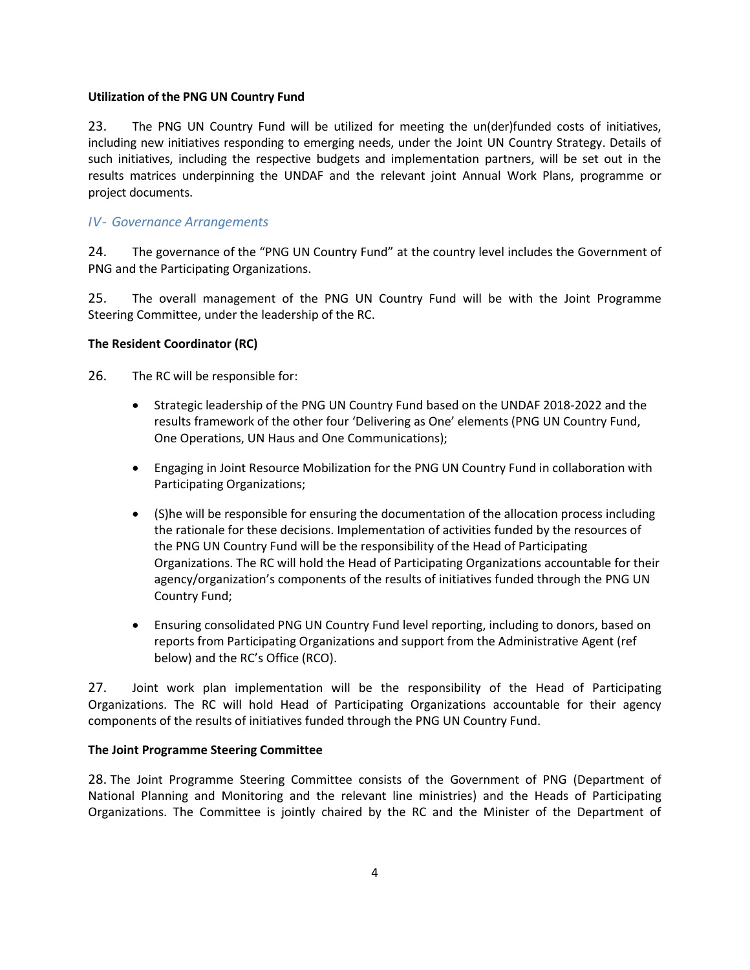#### **Utilization of the PNG UN Country Fund**

23. The PNG UN Country Fund will be utilized for meeting the un(der)funded costs of initiatives, including new initiatives responding to emerging needs, under the Joint UN Country Strategy. Details of such initiatives, including the respective budgets and implementation partners, will be set out in the results matrices underpinning the UNDAF and the relevant joint Annual Work Plans, programme or project documents.

#### *IV- Governance Arrangements*

24. The governance of the "PNG UN Country Fund" at the country level includes the Government of PNG and the Participating Organizations.

25. The overall management of the PNG UN Country Fund will be with the Joint Programme Steering Committee, under the leadership of the RC.

#### **The Resident Coordinator (RC)**

26. The RC will be responsible for:

- Strategic leadership of the PNG UN Country Fund based on the UNDAF 2018-2022 and the results framework of the other four 'Delivering as One' elements (PNG UN Country Fund, One Operations, UN Haus and One Communications);
- Engaging in Joint Resource Mobilization for the PNG UN Country Fund in collaboration with Participating Organizations;
- (S)he will be responsible for ensuring the documentation of the allocation process including the rationale for these decisions. Implementation of activities funded by the resources of the PNG UN Country Fund will be the responsibility of the Head of Participating Organizations. The RC will hold the Head of Participating Organizations accountable for their agency/organization's components of the results of initiatives funded through the PNG UN Country Fund;
- Ensuring consolidated PNG UN Country Fund level reporting, including to donors, based on reports from Participating Organizations and support from the Administrative Agent (ref below) and the RC's Office (RCO).

27. Joint work plan implementation will be the responsibility of the Head of Participating Organizations. The RC will hold Head of Participating Organizations accountable for their agency components of the results of initiatives funded through the PNG UN Country Fund.

#### **The Joint Programme Steering Committee**

28. The Joint Programme Steering Committee consists of the Government of PNG (Department of National Planning and Monitoring and the relevant line ministries) and the Heads of Participating Organizations. The Committee is jointly chaired by the RC and the Minister of the Department of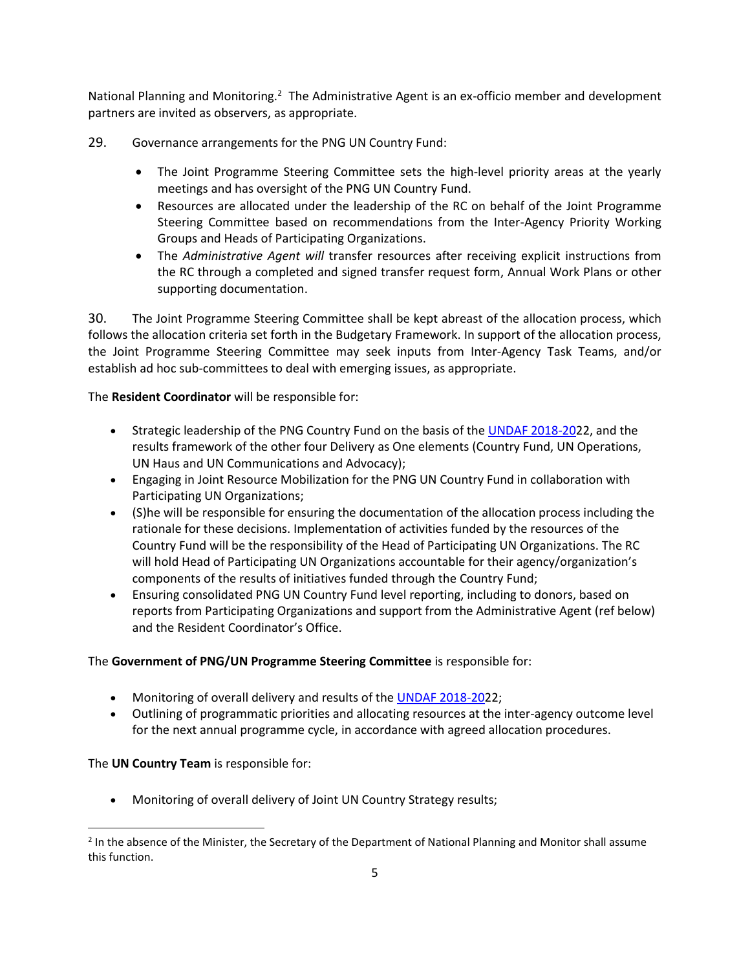National Planning and Monitoring.<sup>2</sup> The Administrative Agent is an ex-officio member and development partners are invited as observers, as appropriate.

- 29. Governance arrangements for the PNG UN Country Fund:
	- The Joint Programme Steering Committee sets the high-level priority areas at the yearly meetings and has oversight of the PNG UN Country Fund.
	- Resources are allocated under the leadership of the RC on behalf of the Joint Programme Steering Committee based on recommendations from the Inter-Agency Priority Working Groups and Heads of Participating Organizations.
	- The *Administrative Agent will* transfer resources after receiving explicit instructions from the RC through a completed and signed transfer request form, Annual Work Plans or other supporting documentation.

30. The Joint Programme Steering Committee shall be kept abreast of the allocation process, which follows the allocation criteria set forth in the Budgetary Framework. In support of the allocation process, the Joint Programme Steering Committee may seek inputs from Inter-Agency Task Teams, and/or establish ad hoc sub-committees to deal with emerging issues, as appropriate.

The **Resident Coordinator** will be responsible for:

- Strategic leadership of the PNG Country Fund on the basis of th[e UNDAF 2018-202](http://mptf.undp.org/document/download/9533)2, and the results framework of the other four Delivery as One elements (Country Fund, UN Operations, UN Haus and UN Communications and Advocacy);
- Engaging in Joint Resource Mobilization for the PNG UN Country Fund in collaboration with Participating UN Organizations;
- (S)he will be responsible for ensuring the documentation of the allocation process including the rationale for these decisions. Implementation of activities funded by the resources of the Country Fund will be the responsibility of the Head of Participating UN Organizations. The RC will hold Head of Participating UN Organizations accountable for their agency/organization's components of the results of initiatives funded through the Country Fund;
- Ensuring consolidated PNG UN Country Fund level reporting, including to donors, based on reports from Participating Organizations and support from the Administrative Agent (ref below) and the Resident Coordinator's Office.

#### The **Government of PNG/UN Programme Steering Committee** is responsible for:

- Monitoring of overall delivery and results of the [UNDAF 2018-202](http://mptf.undp.org/document/download/9533)2;
- Outlining of programmatic priorities and allocating resources at the inter-agency outcome level for the next annual programme cycle, in accordance with agreed allocation procedures.

#### The **UN Country Team** is responsible for:

l

Monitoring of overall delivery of Joint UN Country Strategy results;

 $2$  In the absence of the Minister, the Secretary of the Department of National Planning and Monitor shall assume this function.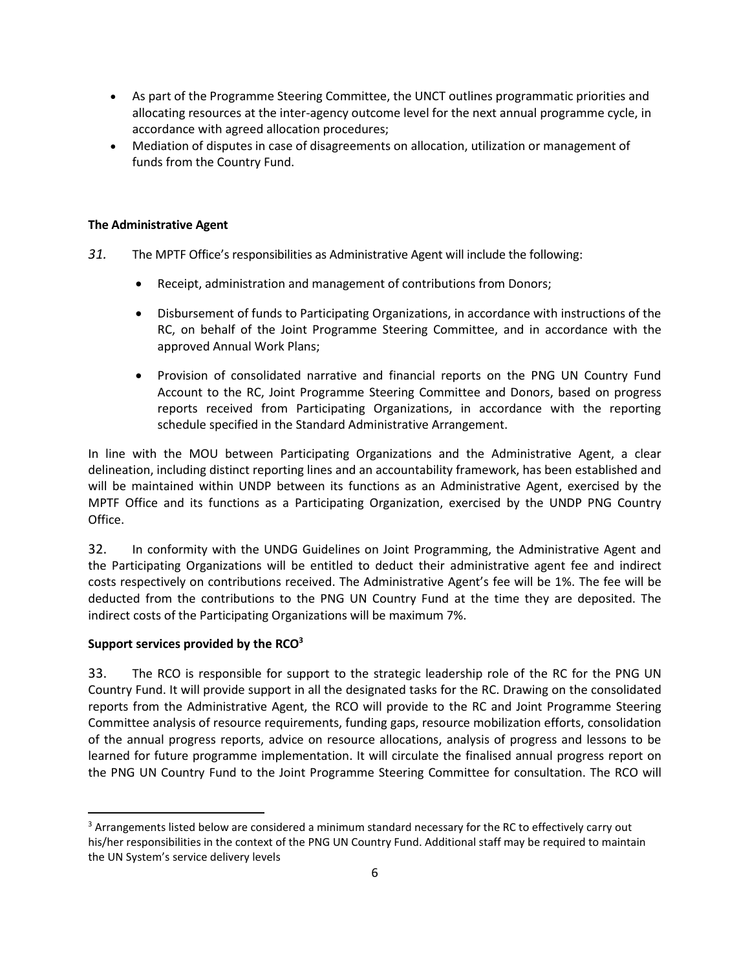- As part of the Programme Steering Committee, the UNCT outlines programmatic priorities and allocating resources at the inter-agency outcome level for the next annual programme cycle, in accordance with agreed allocation procedures;
- Mediation of disputes in case of disagreements on allocation, utilization or management of funds from the Country Fund.

#### **The Administrative Agent**

- *31.* The MPTF Office's responsibilities as Administrative Agent will include the following:
	- Receipt, administration and management of contributions from Donors;
	- Disbursement of funds to Participating Organizations, in accordance with instructions of the RC, on behalf of the Joint Programme Steering Committee, and in accordance with the approved Annual Work Plans;
	- Provision of consolidated narrative and financial reports on the PNG UN Country Fund Account to the RC, Joint Programme Steering Committee and Donors, based on progress reports received from Participating Organizations, in accordance with the reporting schedule specified in the Standard Administrative Arrangement.

In line with the MOU between Participating Organizations and the Administrative Agent, a clear delineation, including distinct reporting lines and an accountability framework, has been established and will be maintained within UNDP between its functions as an Administrative Agent, exercised by the MPTF Office and its functions as a Participating Organization, exercised by the UNDP PNG Country Office.

32. In conformity with the UNDG Guidelines on Joint Programming, the Administrative Agent and the Participating Organizations will be entitled to deduct their administrative agent fee and indirect costs respectively on contributions received. The Administrative Agent's fee will be 1%. The fee will be deducted from the contributions to the PNG UN Country Fund at the time they are deposited. The indirect costs of the Participating Organizations will be maximum 7%.

#### **Support services provided by the RCO<sup>3</sup>**

 $\overline{\phantom{a}}$ 

33. The RCO is responsible for support to the strategic leadership role of the RC for the PNG UN Country Fund. It will provide support in all the designated tasks for the RC. Drawing on the consolidated reports from the Administrative Agent, the RCO will provide to the RC and Joint Programme Steering Committee analysis of resource requirements, funding gaps, resource mobilization efforts, consolidation of the annual progress reports, advice on resource allocations, analysis of progress and lessons to be learned for future programme implementation. It will circulate the finalised annual progress report on the PNG UN Country Fund to the Joint Programme Steering Committee for consultation. The RCO will

<sup>&</sup>lt;sup>3</sup> Arrangements listed below are considered a minimum standard necessary for the RC to effectively carry out his/her responsibilities in the context of the PNG UN Country Fund. Additional staff may be required to maintain the UN System's service delivery levels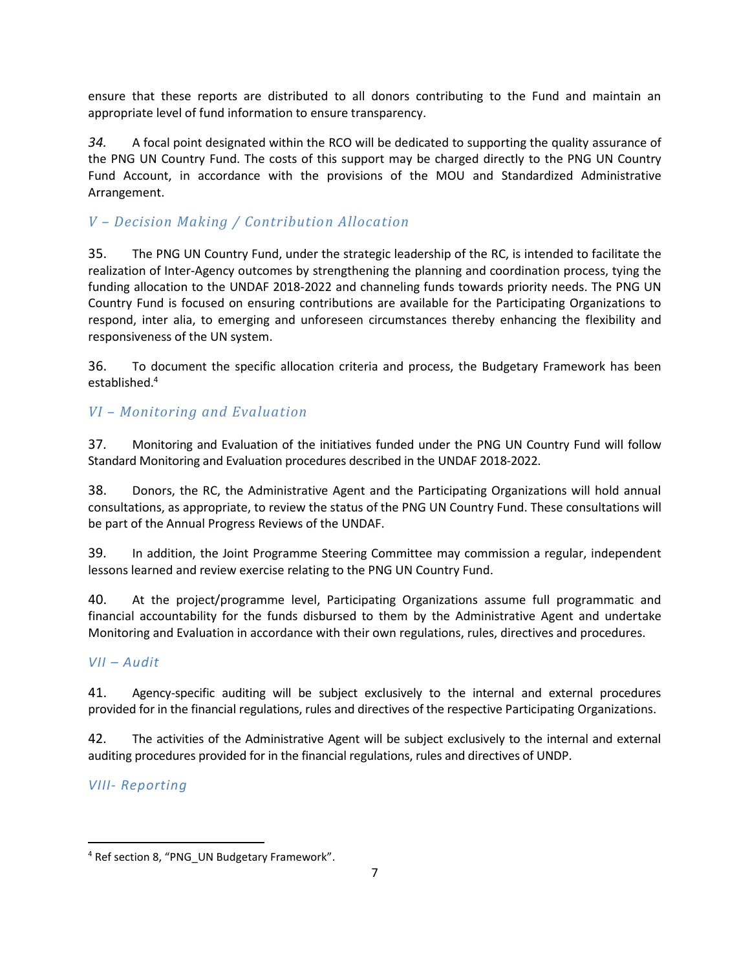ensure that these reports are distributed to all donors contributing to the Fund and maintain an appropriate level of fund information to ensure transparency.

*34.* A focal point designated within the RCO will be dedicated to supporting the quality assurance of the PNG UN Country Fund. The costs of this support may be charged directly to the PNG UN Country Fund Account, in accordance with the provisions of the MOU and Standardized Administrative Arrangement.

## *V – Decision Making / Contribution Allocation*

35. The PNG UN Country Fund, under the strategic leadership of the RC, is intended to facilitate the realization of Inter-Agency outcomes by strengthening the planning and coordination process, tying the funding allocation to the UNDAF 2018-2022 and channeling funds towards priority needs. The PNG UN Country Fund is focused on ensuring contributions are available for the Participating Organizations to respond, inter alia, to emerging and unforeseen circumstances thereby enhancing the flexibility and responsiveness of the UN system.

36. To document the specific allocation criteria and process, the Budgetary Framework has been established.<sup>4</sup>

## *VI – Monitoring and Evaluation*

37. Monitoring and Evaluation of the initiatives funded under the PNG UN Country Fund will follow Standard Monitoring and Evaluation procedures described in the UNDAF 2018-2022.

38. Donors, the RC, the Administrative Agent and the Participating Organizations will hold annual consultations, as appropriate, to review the status of the PNG UN Country Fund. These consultations will be part of the Annual Progress Reviews of the UNDAF.

39. In addition, the Joint Programme Steering Committee may commission a regular, independent lessons learned and review exercise relating to the PNG UN Country Fund.

40. At the project/programme level, Participating Organizations assume full programmatic and financial accountability for the funds disbursed to them by the Administrative Agent and undertake Monitoring and Evaluation in accordance with their own regulations, rules, directives and procedures.

## *VII – Audit*

41. Agency-specific auditing will be subject exclusively to the internal and external procedures provided for in the financial regulations, rules and directives of the respective Participating Organizations.

42. The activities of the Administrative Agent will be subject exclusively to the internal and external auditing procedures provided for in the financial regulations, rules and directives of UNDP.

## *VIII- Reporting*

 $\overline{\phantom{a}}$ 

<sup>&</sup>lt;sup>4</sup> Ref section 8, "PNG UN Budgetary Framework".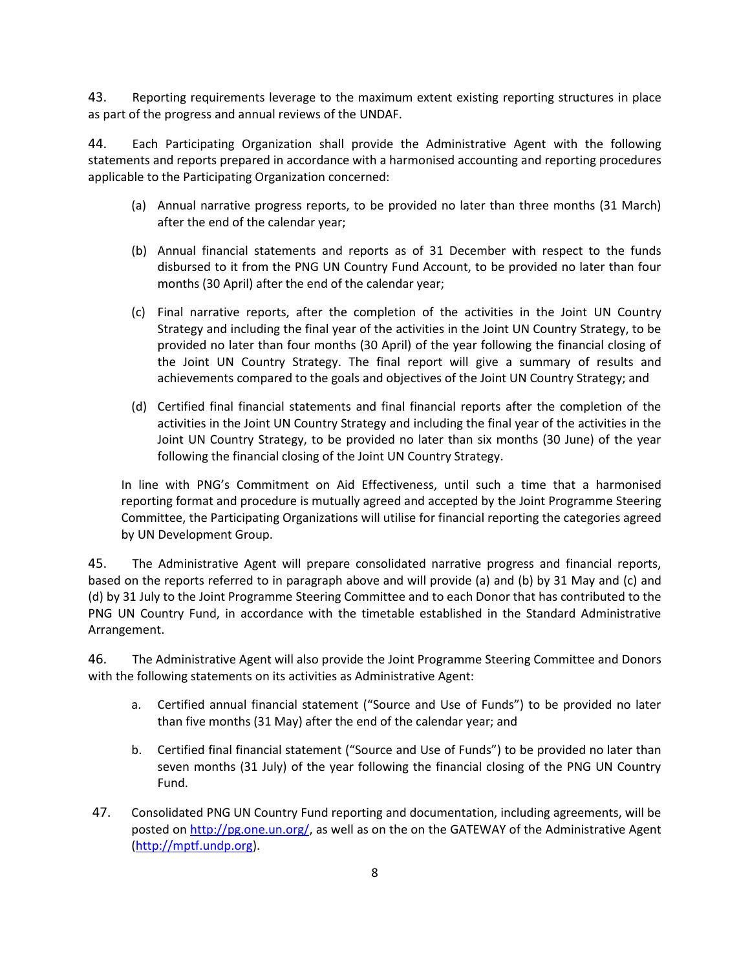43. Reporting requirements leverage to the maximum extent existing reporting structures in place as part of the progress and annual reviews of the UNDAF.

44. Each Participating Organization shall provide the Administrative Agent with the following statements and reports prepared in accordance with a harmonised accounting and reporting procedures applicable to the Participating Organization concerned:

- (a) Annual narrative progress reports, to be provided no later than three months (31 March) after the end of the calendar year;
- (b) Annual financial statements and reports as of 31 December with respect to the funds disbursed to it from the PNG UN Country Fund Account, to be provided no later than four months (30 April) after the end of the calendar year;
- (c) Final narrative reports, after the completion of the activities in the Joint UN Country Strategy and including the final year of the activities in the Joint UN Country Strategy, to be provided no later than four months (30 April) of the year following the financial closing of the Joint UN Country Strategy. The final report will give a summary of results and achievements compared to the goals and objectives of the Joint UN Country Strategy; and
- (d) Certified final financial statements and final financial reports after the completion of the activities in the Joint UN Country Strategy and including the final year of the activities in the Joint UN Country Strategy, to be provided no later than six months (30 June) of the year following the financial closing of the Joint UN Country Strategy.

In line with PNG's Commitment on Aid Effectiveness, until such a time that a harmonised reporting format and procedure is mutually agreed and accepted by the Joint Programme Steering Committee, the Participating Organizations will utilise for financial reporting the categories agreed by UN Development Group.

45. The Administrative Agent will prepare consolidated narrative progress and financial reports, based on the reports referred to in paragraph above and will provide (a) and (b) by 31 May and (c) and (d) by 31 July to the Joint Programme Steering Committee and to each Donor that has contributed to the PNG UN Country Fund, in accordance with the timetable established in the Standard Administrative Arrangement.

46. The Administrative Agent will also provide the Joint Programme Steering Committee and Donors with the following statements on its activities as Administrative Agent:

- a. Certified annual financial statement ("Source and Use of Funds") to be provided no later than five months (31 May) after the end of the calendar year; and
- b. Certified final financial statement ("Source and Use of Funds") to be provided no later than seven months (31 July) of the year following the financial closing of the PNG UN Country Fund.
- 47. Consolidated PNG UN Country Fund reporting and documentation, including agreements, will be posted on [http://pg.one.un.org/,](http://pg.one.un.org/) as well as on the on the GATEWAY of the Administrative Agent [\(http://mptf.undp.org\)](http://mptf.undp.org/).